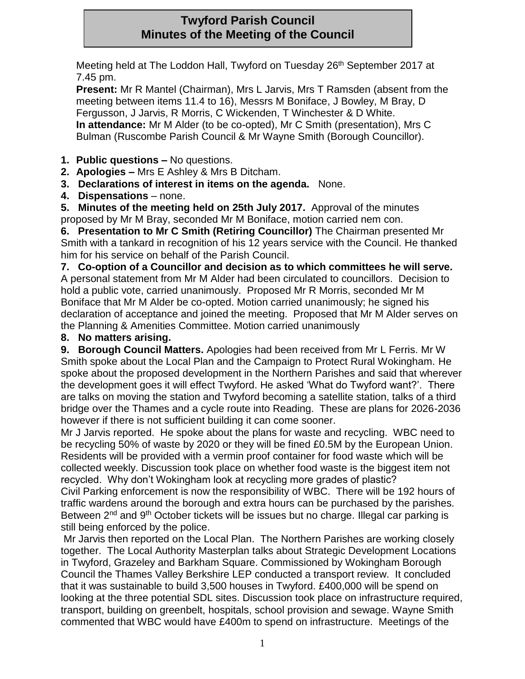# **Twyford Parish Council Minutes of the Meeting of the Council**

Meeting held at The Loddon Hall, Twyford on Tuesday 26<sup>th</sup> September 2017 at 7.45 pm.

**Present:** Mr R Mantel (Chairman), Mrs L Jarvis, Mrs T Ramsden (absent from the meeting between items 11.4 to 16), Messrs M Boniface, J Bowley, M Bray, D Fergusson, J Jarvis, R Morris, C Wickenden, T Winchester & D White. **In attendance:** Mr M Alder (to be co-opted), Mr C Smith (presentation), Mrs C Bulman (Ruscombe Parish Council & Mr Wayne Smith (Borough Councillor).

- **1. Public questions –** No questions.
- **2. Apologies –** Mrs E Ashley & Mrs B Ditcham.
- **3. Declarations of interest in items on the agenda.** None.
- **4. Dispensations** none.

**5. Minutes of the meeting held on 25th July 2017.** Approval of the minutes proposed by Mr M Bray, seconded Mr M Boniface, motion carried nem con.

**6. Presentation to Mr C Smith (Retiring Councillor)** The Chairman presented Mr Smith with a tankard in recognition of his 12 years service with the Council. He thanked him for his service on behalf of the Parish Council.

**7. Co-option of a Councillor and decision as to which committees he will serve.** A personal statement from Mr M Alder had been circulated to councillors. Decision to hold a public vote, carried unanimously. Proposed Mr R Morris, seconded Mr M Boniface that Mr M Alder be co-opted. Motion carried unanimously; he signed his declaration of acceptance and joined the meeting. Proposed that Mr M Alder serves on the Planning & Amenities Committee. Motion carried unanimously

### **8. No matters arising.**

**9. Borough Council Matters.** Apologies had been received from Mr L Ferris. Mr W Smith spoke about the Local Plan and the Campaign to Protect Rural Wokingham. He spoke about the proposed development in the Northern Parishes and said that wherever the development goes it will effect Twyford. He asked 'What do Twyford want?'. There are talks on moving the station and Twyford becoming a satellite station, talks of a third bridge over the Thames and a cycle route into Reading. These are plans for 2026-2036 however if there is not sufficient building it can come sooner.

Mr J Jarvis reported. He spoke about the plans for waste and recycling. WBC need to be recycling 50% of waste by 2020 or they will be fined £0.5M by the European Union. Residents will be provided with a vermin proof container for food waste which will be collected weekly. Discussion took place on whether food waste is the biggest item not recycled. Why don't Wokingham look at recycling more grades of plastic?

Civil Parking enforcement is now the responsibility of WBC. There will be 192 hours of traffic wardens around the borough and extra hours can be purchased by the parishes. Between 2<sup>nd</sup> and 9<sup>th</sup> October tickets will be issues but no charge. Illegal car parking is still being enforced by the police.

Mr Jarvis then reported on the Local Plan. The Northern Parishes are working closely together. The Local Authority Masterplan talks about Strategic Development Locations in Twyford, Grazeley and Barkham Square. Commissioned by Wokingham Borough Council the Thames Valley Berkshire LEP conducted a transport review. It concluded that it was sustainable to build 3,500 houses in Twyford. £400,000 will be spend on looking at the three potential SDL sites. Discussion took place on infrastructure required, transport, building on greenbelt, hospitals, school provision and sewage. Wayne Smith commented that WBC would have £400m to spend on infrastructure. Meetings of the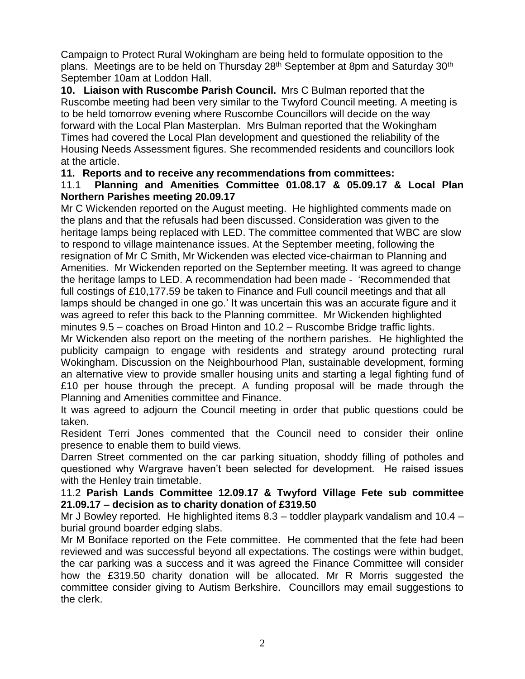Campaign to Protect Rural Wokingham are being held to formulate opposition to the plans. Meetings are to be held on Thursday 28<sup>th</sup> September at 8pm and Saturday 30<sup>th</sup> September 10am at Loddon Hall.

**10. Liaison with Ruscombe Parish Council.** Mrs C Bulman reported that the Ruscombe meeting had been very similar to the Twyford Council meeting. A meeting is to be held tomorrow evening where Ruscombe Councillors will decide on the way forward with the Local Plan Masterplan. Mrs Bulman reported that the Wokingham Times had covered the Local Plan development and questioned the reliability of the Housing Needs Assessment figures. She recommended residents and councillors look at the article.

**11. Reports and to receive any recommendations from committees:**

#### 11.1 **Planning and Amenities Committee 01.08.17 & 05.09.17 & Local Plan Northern Parishes meeting 20.09.17**

Mr C Wickenden reported on the August meeting. He highlighted comments made on the plans and that the refusals had been discussed. Consideration was given to the heritage lamps being replaced with LED. The committee commented that WBC are slow to respond to village maintenance issues. At the September meeting, following the resignation of Mr C Smith, Mr Wickenden was elected vice-chairman to Planning and Amenities. Mr Wickenden reported on the September meeting. It was agreed to change the heritage lamps to LED. A recommendation had been made - 'Recommended that full costings of £10,177.59 be taken to Finance and Full council meetings and that all lamps should be changed in one go.' It was uncertain this was an accurate figure and it was agreed to refer this back to the Planning committee. Mr Wickenden highlighted minutes 9.5 – coaches on Broad Hinton and 10.2 – Ruscombe Bridge traffic lights.

Mr Wickenden also report on the meeting of the northern parishes. He highlighted the publicity campaign to engage with residents and strategy around protecting rural Wokingham. Discussion on the Neighbourhood Plan, sustainable development, forming an alternative view to provide smaller housing units and starting a legal fighting fund of £10 per house through the precept. A funding proposal will be made through the Planning and Amenities committee and Finance.

It was agreed to adjourn the Council meeting in order that public questions could be taken.

Resident Terri Jones commented that the Council need to consider their online presence to enable them to build views.

Darren Street commented on the car parking situation, shoddy filling of potholes and questioned why Wargrave haven't been selected for development. He raised issues with the Henley train timetable.

#### 11.2 **Parish Lands Committee 12.09.17 & Twyford Village Fete sub committee 21.09.17 – decision as to charity donation of £319.50**

Mr J Bowley reported. He highlighted items 8.3 – toddler playpark vandalism and 10.4 – burial ground boarder edging slabs.

Mr M Boniface reported on the Fete committee. He commented that the fete had been reviewed and was successful beyond all expectations. The costings were within budget, the car parking was a success and it was agreed the Finance Committee will consider how the £319.50 charity donation will be allocated. Mr R Morris suggested the committee consider giving to Autism Berkshire. Councillors may email suggestions to the clerk.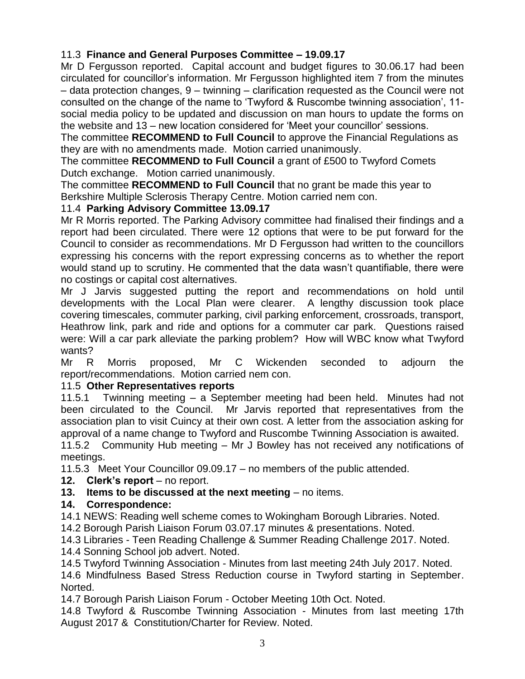# 11.3 **Finance and General Purposes Committee – 19.09.17**

Mr D Fergusson reported. Capital account and budget figures to 30.06.17 had been circulated for councillor's information. Mr Fergusson highlighted item 7 from the minutes – data protection changes, 9 – twinning – clarification requested as the Council were not consulted on the change of the name to 'Twyford & Ruscombe twinning association', 11 social media policy to be updated and discussion on man hours to update the forms on the website and 13 – new location considered for 'Meet your councillor' sessions.

The committee **RECOMMEND to Full Council** to approve the Financial Regulations as they are with no amendments made. Motion carried unanimously.

The committee **RECOMMEND to Full Council** a grant of £500 to Twyford Comets Dutch exchange. Motion carried unanimously.

The committee **RECOMMEND to Full Council** that no grant be made this year to Berkshire Multiple Sclerosis Therapy Centre. Motion carried nem con.

#### 11.4 **Parking Advisory Committee 13.09.17**

Mr R Morris reported. The Parking Advisory committee had finalised their findings and a report had been circulated. There were 12 options that were to be put forward for the Council to consider as recommendations. Mr D Fergusson had written to the councillors expressing his concerns with the report expressing concerns as to whether the report would stand up to scrutiny. He commented that the data wasn't quantifiable, there were no costings or capital cost alternatives.

Mr J Jarvis suggested putting the report and recommendations on hold until developments with the Local Plan were clearer. A lengthy discussion took place covering timescales, commuter parking, civil parking enforcement, crossroads, transport, Heathrow link, park and ride and options for a commuter car park. Questions raised were: Will a car park alleviate the parking problem? How will WBC know what Twyford wants?

Mr R Morris proposed, Mr C Wickenden seconded to adjourn the report/recommendations. Motion carried nem con.

### 11.5 **Other Representatives reports**

11.5.1 Twinning meeting – a September meeting had been held. Minutes had not been circulated to the Council. Mr Jarvis reported that representatives from the association plan to visit Cuincy at their own cost. A letter from the association asking for approval of a name change to Twyford and Ruscombe Twinning Association is awaited.

11.5.2 Community Hub meeting – Mr J Bowley has not received any notifications of meetings.

11.5.3 Meet Your Councillor 09.09.17 – no members of the public attended.

#### **12.** Clerk's report – no report.

### **13. Items to be discussed at the next meeting** – no items.

### **14. Correspondence:**

14.1 NEWS: Reading well scheme comes to Wokingham Borough Libraries. Noted.

14.2 Borough Parish Liaison Forum 03.07.17 minutes & presentations. Noted.

14.3 Libraries - Teen Reading Challenge & Summer Reading Challenge 2017. Noted. 14.4 Sonning School job advert. Noted.

14.5 Twyford Twinning Association - Minutes from last meeting 24th July 2017. Noted. 14.6 Mindfulness Based Stress Reduction course in Twyford starting in September. Norted.

14.7 Borough Parish Liaison Forum - October Meeting 10th Oct. Noted.

14.8 Twyford & Ruscombe Twinning Association - Minutes from last meeting 17th August 2017 & Constitution/Charter for Review. Noted.